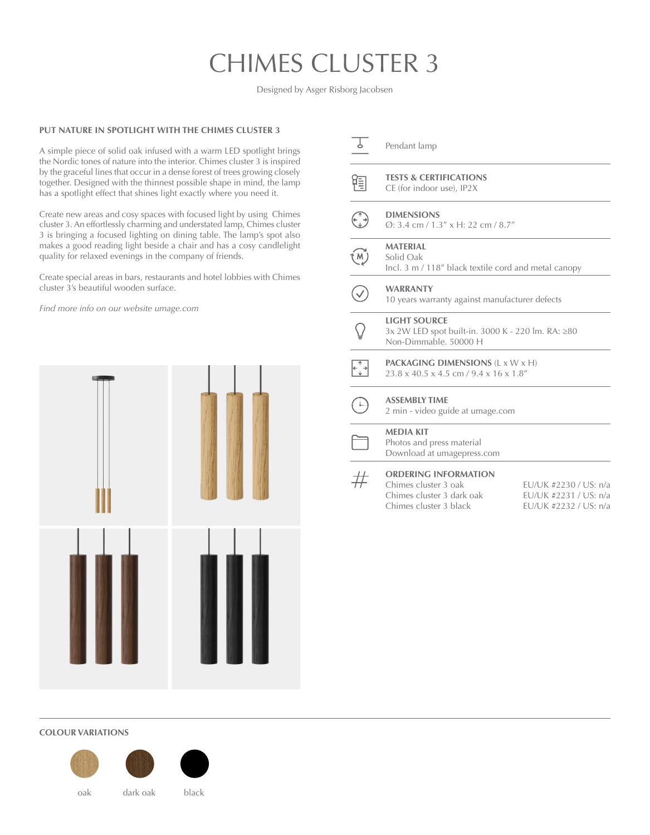## CHIMES CLUSTER 3

Designed by Asger Risborg Jacobsen

## **PUT NATURE IN SPOTLIGHT WITH THE CHIMES CLUSTER 3**

A simple piece of solid oak infused with a warm LED spotlight brings the Nordic tones of nature into the interior. Chimes cluster 3 is inspired by the graceful lines that occur in a dense forest of trees growing closely together. Designed with the thinnest possible shape in mind, the lamp has a spotlight effect that shines light exactly where you need it.

Create new areas and cosy spaces with focused light by using Chimes cluster 3. An effortlessly charming and understated lamp, Chimes cluster 3 is bringing a focused lighting on dining table. The lamp's spot also makes a good reading light beside a chair and has a cosy candlelight quality for relaxed evenings in the company of friends.

Create special areas in bars, restaurants and hotel lobbies with Chimes cluster 3's beautiful wooden surface.

*Find more info on our website [umage.com](http://umage.com)*



|                                                        | Pendant lamp                                                                                               |                                                                         |
|--------------------------------------------------------|------------------------------------------------------------------------------------------------------------|-------------------------------------------------------------------------|
|                                                        | <b>TESTS &amp; CERTIFICATIONS</b><br>CE (for indoor use), IP2X                                             |                                                                         |
|                                                        | <b>DIMENSIONS</b><br>Ø: 3.4 cm / 1.3" x H: 22 cm / 8.7"                                                    |                                                                         |
| $\overline{M}$                                         | <b>MATERIAL</b><br>Solid Oak<br>Incl. 3 m / 118" black textile cord and metal canopy                       |                                                                         |
|                                                        | <b>WARRANTY</b><br>10 years warranty against manufacturer defects                                          |                                                                         |
|                                                        | <b>LIGHT SOURCE</b><br>3x 2W LED spot built-in. 3000 K - 220 lm. RA: ≥80<br>Non-Dimmable, 50000 H          |                                                                         |
| $\begin{smallmatrix} + & + \\ + & + \end{smallmatrix}$ | <b>PACKAGING DIMENSIONS (L x W x H)</b><br>$23.8 \times 40.5 \times 4.5$ cm $/9.4 \times 16 \times 1.8$ "  |                                                                         |
|                                                        | <b>ASSEMBLY TIME</b><br>2 min - video guide at umage.com                                                   |                                                                         |
|                                                        | <b>MEDIA KIT</b><br>Photos and press material<br>Download at umagepress.com                                |                                                                         |
| $\#$                                                   | <b>ORDERING INFORMATION</b><br>Chimes cluster 3 oak<br>Chimes cluster 3 dark oak<br>Chimes cluster 3 black | EU/UK #2230 / US: n/a<br>EU/UK #2231 / US: n/a<br>EU/UK #2232 / US: n/a |

## **COLOUR VARIATIONS**